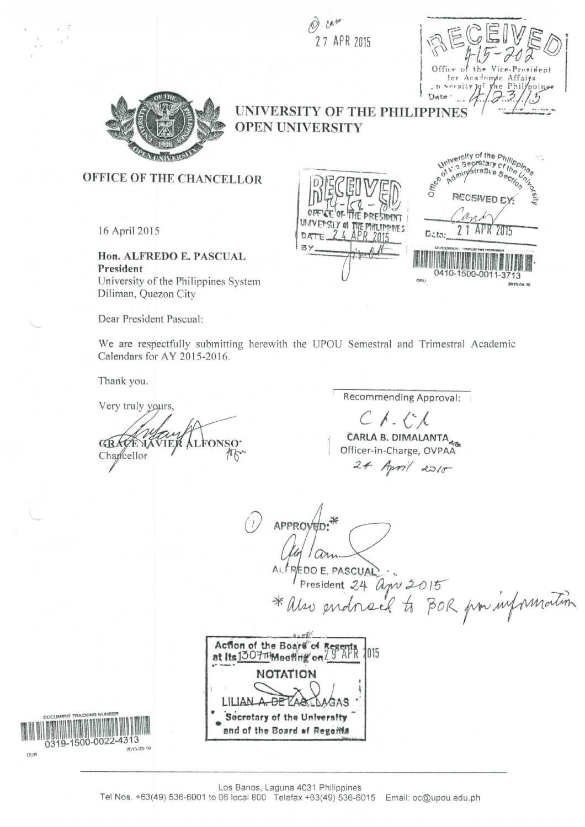$U^{\prime}$ 27 APR 2015



university of the Philippines<br>14. Secretary of the philippines<br>14. Supportative Secretary

Secretally a Secretary

RECEIVED EY

2 1 APR 2015

2015-04

0410-1500-001

Data:

 $n + 1$ 



## UNIVERSITY OF THE PHILIPPI **OPEN UNIVERSITY**

HE PRESIDEN

OFFICE OF THE CHANCELLOR

16 April 2015

Hon. ALFREDO E. PASCUAL President University of the Philippines System Diliman, Quezon City

Dear President Pascual:

We are respectfully submitting herewith the UPOU Semestral and Trimestral Academic Calendars for AY 2015-2016.

D<sub>A</sub>

Thank you.

Very truly yours, **GRACE** .FOI Charcellor

Recommending Approval:  $C$  /  $\cdot$   $C$  / CARLA B. DIMALANTA

Officer-in-Charge, OVPAA  $24$  April 2018

APPROVED

REDO E. PASCUAL EDO E. PASCUAL<br>President 24 apr 2015<br>Uso endneck to BOR pon information



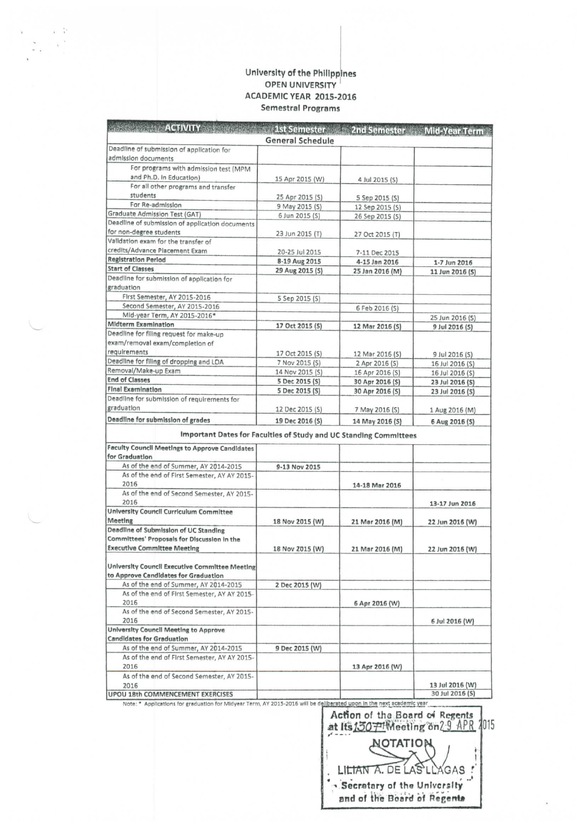## **University of the Philippines**  OPEN UNIVERSITY ACADEMIC YEAR 2015-2016 Semestral Programs

 $\lambda = \frac{1}{2}$  $\sim$   $\rm s^{-1}$ 

| <b>BETWEEN THE ACTIVITY OF A SERVICE AND RESERVE</b>              |                  |                 | <b>Example 15t Semester 2nd Semester Mid-Year Term</b> |
|-------------------------------------------------------------------|------------------|-----------------|--------------------------------------------------------|
|                                                                   | General Schedule |                 |                                                        |
| Deadline of submission of application for                         |                  |                 |                                                        |
| admission documents                                               |                  |                 |                                                        |
| For programs with admission test (MPM                             |                  |                 |                                                        |
| and Ph.D. In Education)                                           |                  |                 |                                                        |
| For all other programs and transfer                               | 15 Apr 2015 (W)  | 4 Jul 2015 (S)  |                                                        |
| students                                                          |                  |                 |                                                        |
| For Re-admission                                                  | 25 Apr 2015 (S)  | 5 Sep 2015 (S)  |                                                        |
| Graduate Admission Test (GAT)                                     | 9 May 2015 (S)   | 12 Sep 2015 (S) |                                                        |
| Deadline of submission of application documents                   | 6 Jun 2015 (S)   | 26 Sep 2015 (S) |                                                        |
| for non-degree students                                           |                  |                 |                                                        |
| Validation exam for the transfer of                               | 23 Jun 2015 (T)  | 27 Oct 2015 (T) |                                                        |
| credits/Advance Placement Exam                                    |                  |                 |                                                        |
| <b>Registration Period</b>                                        | 20-25 Jul 2015   | 7-11 Dec 2015   |                                                        |
| <b>Start of Classes</b>                                           | 8-19 Aug 2015    | 4-15 Jan 2016   | 1-7 Jun 2016                                           |
| Deadline for submission of application for                        | 29 Aug 2015 (S)  | 25 Jan 2016 (M) | 11 Jun 2016 (S)                                        |
|                                                                   |                  |                 |                                                        |
| graduation                                                        |                  |                 |                                                        |
| First Semester, AY 2015-2016                                      | 5 Sep 2015 (S)   |                 |                                                        |
| Second Semester, AY 2015-2016                                     |                  | 6 Feb 2016 (S)  |                                                        |
| Mid-year Term, AY 2015-2016*                                      |                  |                 | 25 Jun 2016 (S)                                        |
| <b>Midterm Examination</b>                                        | 17 Oct 2015 (5)  | 12 Mar 2016 (S) | 9 Jul 2016 (S)                                         |
| Deadline for filing request for make-up                           |                  |                 |                                                        |
| exam/removal exam/completion of                                   |                  |                 |                                                        |
| requirements                                                      | 17 Oct 2015 (S)  | 12 Mar 2016 (S) | 9 Jul 2016 (S)                                         |
| Deadline for filing of dropping and LOA                           | 7 Nov 2015 (S)   | 2 Apr 2016 (S)  | 16 Jul 2016 (S)                                        |
| Removal/Make-up Exam                                              | 14 Nov 2015 (S)  | 16 Apr 2016 (S) | 16 Jul 2016 (S)                                        |
| <b>End of Classes</b>                                             | 5 Dec 2015 (S)   | 30 Apr 2016 (S) | 23 Jul 2016 (S)                                        |
| <b>Final Examination</b>                                          | 5 Dec 2015 (S)   | 30 Apr 2016 (5) | 23 Jul 2016 (S)                                        |
| Deadline for submission of requirements for                       |                  |                 |                                                        |
| graduation                                                        | 12 Dec 2015 (S)  | 7 May 2016 (S)  | 1 Aug 2016 (M)                                         |
| Deadline for submission of grades                                 | 19 Dec 2016 (S)  | 14 May 2016 (S) | 6 Aug 2016 (S)                                         |
|                                                                   |                  |                 |                                                        |
| Important Dates for Faculties of Study and UC Standing Committees |                  |                 |                                                        |
| <b>Faculty Council Meetings to Approve Candidates</b>             |                  |                 |                                                        |
| for Graduation                                                    |                  |                 |                                                        |
| As of the end of Summer, AY 2014-2015                             | 9-13 Nov 2015    |                 |                                                        |
| As of the end of First Semester, AY AY 2015-                      |                  |                 |                                                        |
| 2016                                                              |                  | 14-18 Mar 2016  |                                                        |
| As of the end of Second Semester, AY 2015-                        |                  |                 |                                                        |
| 2016                                                              |                  |                 |                                                        |
| <b>University Council Curriculum Committee</b>                    |                  |                 | 13-17 Jun 2016                                         |
| Meeting                                                           |                  |                 |                                                        |
| Deadline of Submission of UC Standing                             | 18 Nov 2015 (W)  | 21 Mar 2016 (M) | 22 Jun 2016 (W)                                        |
| Committees' Proposals for Discussion in the                       |                  |                 |                                                        |
| <b>Executive Committee Meeting</b>                                |                  |                 |                                                        |
|                                                                   | 18 Nov 2015 (W)  | 21 Mar 2016 (M) | 22 Jun 2016 (W)                                        |
|                                                                   |                  |                 |                                                        |
| University Council Executive Committee Meeting                    |                  |                 |                                                        |
| to Approve Candidates for Graduation                              |                  |                 |                                                        |
| As of the end of Summer, AY 2014-2015                             | 2 Dec 2015 (W)   |                 |                                                        |
| As of the end of First Semester, AY AY 2015-                      |                  |                 |                                                        |
| 2016                                                              |                  | 6 Apr 2016 (W)  |                                                        |
| As of the end of Second Semester, AY 2015-                        |                  |                 |                                                        |
| 2016                                                              |                  |                 | 6 Jul 2016 (W)                                         |
| University Council Meeting to Approve                             |                  |                 |                                                        |
| <b>Candidates for Graduation</b>                                  |                  |                 |                                                        |
| As of the end of Summer, AY 2014-2015                             | 9 Dec 2015 (W)   |                 |                                                        |
| As of the end of First Semester, AY AY 2015-                      |                  |                 |                                                        |
| 2016                                                              |                  | 13 Apr 2016 (W) |                                                        |
| As of the end of Second Semester, AY 2015-                        |                  |                 |                                                        |
| 2016                                                              |                  |                 | 13 Jul 2016 (W)                                        |
| UPOU 18th COMMENCEMENT EXERCISES                                  |                  |                 | 30 Jul 2016 (S)                                        |

Note: \* Applications for graduation for Midyear Term, AY 2015-2016 will be deliberated upon in the next academic year

**Action of tha Board** *oi* **Regents 015** MOTATION LILTAN A. DE LAS LLAGAS ! **« Secretory of tho University**  and of the Board of Regente